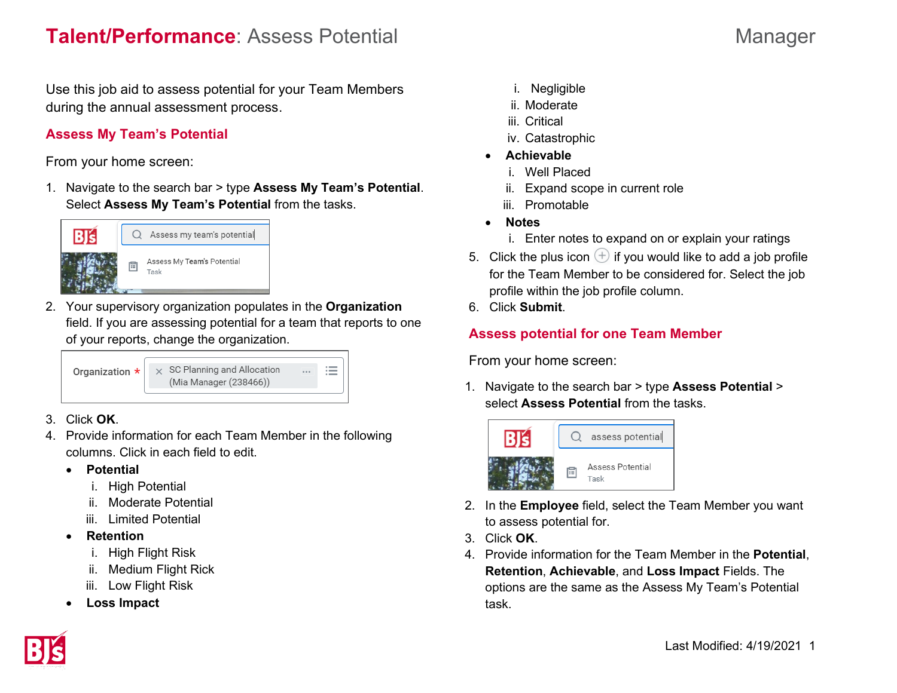Use this job aid to assess potential for your Team Members during the annual assessment process.

## **Assess My Team's Potential**

From your home screen:

1. Navigate to the search bar > type **Assess My Team's Potential**. Select **Assess My Team's Potential** from the tasks.



2. Your supervisory organization populates in the **Organization** field. If you are assessing potential for a team that reports to one of your reports, change the organization.



- 3. Click **OK**.
- 4. Provide information for each Team Member in the following columns. Click in each field to edit.
	- **Potential**
		- i. High Potential
		- ii. Moderate Potential
		- iii. Limited Potential
	- **Retention**
		- i. High Flight Risk
		- ii. Medium Flight Rick
		- iii. Low Flight Risk
	- **Loss Impact**
- i. Negligible
- ii. Moderate
- iii. Critical
- iv. Catastrophic
- **Achievable**
	- i. Well Placed
	- ii. Expand scope in current role
	- iii. Promotable
- **Notes**
	- i. Enter notes to expand on or explain your ratings
- 5. Click the plus icon  $\bigoplus$  if you would like to add a job profile for the Team Member to be considered for. Select the job profile within the job profile column.
- 6. Click **Submit**.

## **Assess potential for one Team Member**

From your home screen:

1. Navigate to the search bar > type **Assess Potential** > select **Assess Potential** from the tasks.



- 2. In the **Employee** field, select the Team Member you want to assess potential for.
- 3. Click **OK**.
- 4. Provide information for the Team Member in the **Potential**, **Retention**, **Achievable**, and **Loss Impact** Fields. The options are the same as the Assess My Team's Potential task.